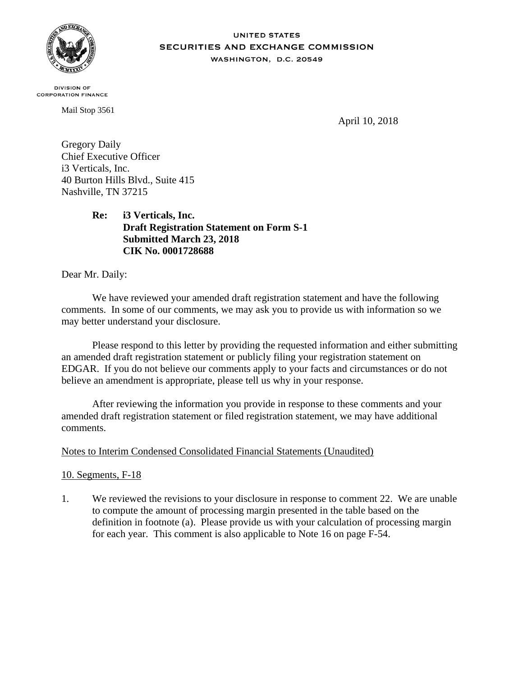

## **UNITED STATES** SECURITIES AND EXCHANGE COMMISSION WASHINGTON, D.C. 20549

**DIVISION OF CORPORATION FINANCE** 

Mail Stop 3561

April 10, 2018

Gregory Daily Chief Executive Officer i3 Verticals, Inc. 40 Burton Hills Blvd., Suite 415 Nashville, TN 37215

> **Re: i3 Verticals, Inc. Draft Registration Statement on Form S-1 Submitted March 23, 2018 CIK No. 0001728688**

Dear Mr. Daily:

We have reviewed your amended draft registration statement and have the following comments. In some of our comments, we may ask you to provide us with information so we may better understand your disclosure.

Please respond to this letter by providing the requested information and either submitting an amended draft registration statement or publicly filing your registration statement on EDGAR. If you do not believe our comments apply to your facts and circumstances or do not believe an amendment is appropriate, please tell us why in your response.

After reviewing the information you provide in response to these comments and your amended draft registration statement or filed registration statement, we may have additional comments.

## Notes to Interim Condensed Consolidated Financial Statements (Unaudited)

10. Segments, F-18

1. We reviewed the revisions to your disclosure in response to comment 22. We are unable to compute the amount of processing margin presented in the table based on the definition in footnote (a). Please provide us with your calculation of processing margin for each year. This comment is also applicable to Note 16 on page F-54.